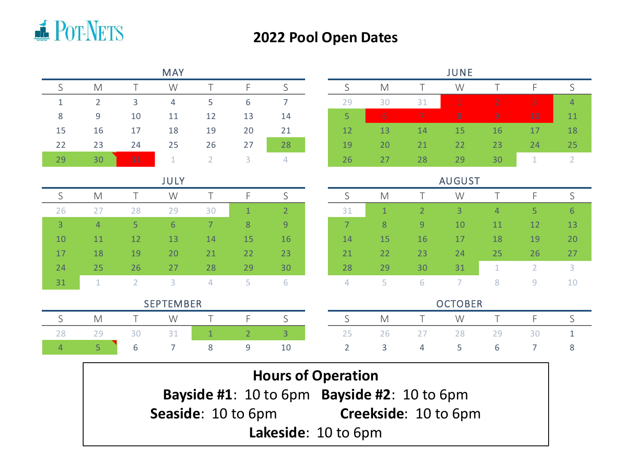## **E** POT-NETS

## **2022 Pool Open Dates**

| <b>MAY</b>                                        |                     |                |                |                |                |                |  | <b>JUNE</b>    |                |                |                |                |                |                |  |  |  |
|---------------------------------------------------|---------------------|----------------|----------------|----------------|----------------|----------------|--|----------------|----------------|----------------|----------------|----------------|----------------|----------------|--|--|--|
| S                                                 | M                   | T              | W              | T              | F              | S              |  | S              | M              | T              | W              | T              | F              | S              |  |  |  |
| 1                                                 | $\overline{2}$      | $\overline{3}$ | $\overline{4}$ | 5              | 6              | $\overline{7}$ |  | 29             | 30             | 31             | $\mathbf{1}$   | $\overline{2}$ | 3              | 4              |  |  |  |
| 8                                                 | 9                   | 10             | 11             | 12             | 13             | 14             |  | 5              | $\overline{6}$ | $\overline{7}$ | 8              | 9              | 10             | 11             |  |  |  |
| 15                                                | 16                  | 17             | 18             | 19             | 20             | 21             |  | 12             | 13             | 14             | 15             | 16             | 17             | 18             |  |  |  |
| 22                                                | 23                  | 24             | 25             | 26             | 27             | 28             |  | 19             | 20             | 21             | 22             | 23             | 24             | 25             |  |  |  |
| 29                                                | 30                  | 31             | 1              | $\overline{2}$ | 3              | 4              |  | 26             | 27             | 28             | 29             | 30             | $\mathbf{1}$   | $\overline{2}$ |  |  |  |
| <b>JULY</b>                                       |                     |                |                |                |                |                |  |                | <b>AUGUST</b>  |                |                |                |                |                |  |  |  |
| S                                                 | M                   | $\top$         | W              | $\top$         | F              | S              |  | S              | M              | $\top$         | W              | $\top$         | F              | S              |  |  |  |
| 26                                                | 27                  | 28             | 29             | 30             | $\mathbf{1}$   | $\overline{2}$ |  | 31             | $\mathbf{1}$   | $\overline{2}$ | $\overline{3}$ | $\overline{4}$ | 5              | 6              |  |  |  |
| $\overline{3}$                                    | $\overline{4}$      | 5              | 6              | $\overline{7}$ | 8              | $\overline{9}$ |  | $\overline{7}$ | 8              | 9              | 10             | 11             | 12             | 13             |  |  |  |
| 10                                                | 11                  | 12             | 13             | 14             | 15             | 16             |  | 14             | 15             | 16             | 17             | 18             | 19             | 20             |  |  |  |
| 17                                                | 18                  | 19             | 20             | 21             | 22             | 23             |  | 21             | 22             | 23             | 24             | 25             | 26             | 27             |  |  |  |
| 24                                                | 25                  | 26             | 27             | 28             | 29             | 30             |  | 28             | 29             | 30             | 31             | $\mathbf{1}$   | $\overline{2}$ | 3              |  |  |  |
| 31                                                | 1                   | $\overline{2}$ | 3              | $\overline{4}$ | 5              | 6              |  | $\overline{4}$ | 5              | 6              | $\overline{7}$ | 8              | 9              | 10             |  |  |  |
| <b>SEPTEMBER</b>                                  |                     |                |                |                |                |                |  |                | <b>OCTOBER</b> |                |                |                |                |                |  |  |  |
| S                                                 | M                   | $\top$         | W              | T              | F              | S              |  | S              | M              | Τ              | W              | $\top$         | F              | S              |  |  |  |
| 28                                                | 29                  | 30             | 31             | $\mathbf{1}$   | $\overline{2}$ | $\overline{3}$ |  | 25             | 26             | 27             | 28             | 29             | 30             | $1\,$          |  |  |  |
| $\overline{4}$                                    | 5                   | 6              | $\overline{7}$ | 8              | 9              | 10             |  | $\overline{2}$ | 3              | 4              | 5              | 6              | $\overline{7}$ | 8              |  |  |  |
|                                                   |                     |                |                |                |                |                |  |                |                |                |                |                |                |                |  |  |  |
| <b>Hours of Operation</b>                         |                     |                |                |                |                |                |  |                |                |                |                |                |                |                |  |  |  |
| Bayside #1: 10 to 6pm Bayside #2: 10 to 6pm       |                     |                |                |                |                |                |  |                |                |                |                |                |                |                |  |  |  |
| Seaside: 10 to 6pm<br><b>Creekside: 10 to 6pm</b> |                     |                |                |                |                |                |  |                |                |                |                |                |                |                |  |  |  |
|                                                   | Lakeside: 10 to 6pm |                |                |                |                |                |  |                |                |                |                |                |                |                |  |  |  |
|                                                   |                     |                |                |                |                |                |  |                |                |                |                |                |                |                |  |  |  |